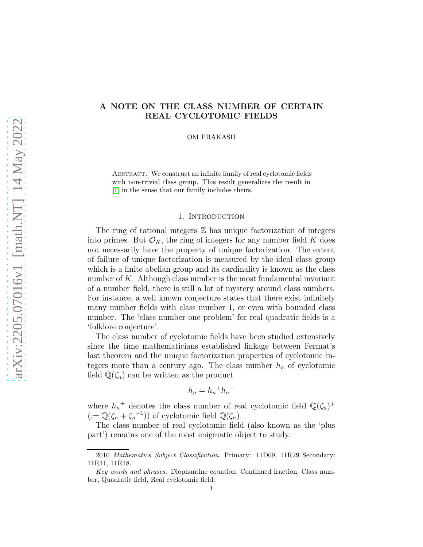# arXiv:2205.07016v1 [math.NT] 14 May 2022 [arXiv:2205.07016v1 \[math.NT\] 14 May 2022](http://arxiv.org/abs/2205.07016v1)

# A NOTE ON THE CLASS NUMBER OF CERTAIN REAL CYCLOTOMIC FIELDS

OM PRAKASH

ABSTRACT. We construct an infinite family of real cyclotomic fields with non-trivial class group. This result generalizes the result in [\[1\]](#page-7-0) in the sense that our family includes theirs.

### 1. INTRODUCTION

The ring of rational integers  $\mathbb Z$  has unique factorization of integers into primes. But  $\mathcal{O}_K$ , the ring of integers for any number field K does not necessarily have the property of unique factorization. The extent of failure of unique factorization is measured by the ideal class group which is a finite abelian group and its cardinality is known as the class number of  $K$ . Although class number is the most fundamental invariant of a number field, there is still a lot of mystery around class numbers. For instance, a well known conjecture states that there exist infinitely many number fields with class number 1, or even with bounded class number. The 'class number one problem' for real quadratic fields is a 'folklore conjecture'.

The class number of cyclotomic fields have been studied extensively since the time mathematicians established linkage between Fermat's last theorem and the unique factorization properties of cyclotomic integers more than a century ago. The class number  $h_n$  of cyclotomic field  $\mathbb{Q}(\zeta_n)$  can be written as the product

$$
h_n = h_n{}^+ h_n{}^-
$$

where  $h_n^+$  denotes the class number of real cyclotomic field  $\mathbb{Q}(\zeta_n)^+$  $(:=\mathbb{Q}(\zeta_n+\zeta_n^{-1}))$  of cyclotomic field  $\mathbb{Q}(\zeta_n)$ .

The class number of real cyclotomic field (also known as the 'plus part') remains one of the most enigmatic object to study.

<sup>2010</sup> Mathematics Subject Classification. Primary: 11D09, 11R29 Secondary: 11R11, 11R18.

Key words and phrases. Diophantine equation, Continued fraction, Class number, Quadratic field, Real cyclotomic field.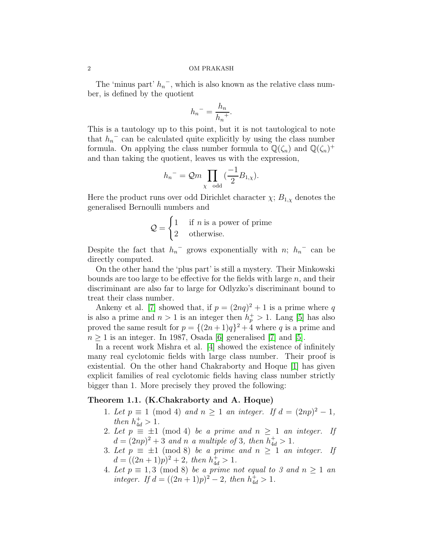The 'minus part'  $h_n^-$ , which is also known as the relative class number, is defined by the quotient

$$
h_n = \frac{h_n}{h_n^+}.
$$

This is a tautology up to this point, but it is not tautological to note that  $h_n$ <sup> $\bar{h}$ </sup> can be calculated quite explicitly by using the class number formula. On applying the class number formula to  $\mathbb{Q}(\zeta_n)$  and  $\mathbb{Q}(\zeta_n)^+$ and than taking the quotient, leaves us with the expression,

$$
h_n{}^-=\mathcal{Q}m \prod_{\chi \text{ odd}}\left(\frac{-1}{2}B_{1,\chi}\right).
$$

Here the product runs over odd Dirichlet character  $\chi$ ;  $B_{1,\chi}$  denotes the generalised Bernoulli numbers and

$$
Q = \begin{cases} 1 & \text{if } n \text{ is a power of prime} \\ 2 & \text{otherwise.} \end{cases}
$$

Despite the fact that  $h_n$ <sup>-</sup> grows exponentially with n;  $h_n$ <sup>-</sup> can be directly computed.

On the other hand the 'plus part' is still a mystery. Their Minkowski bounds are too large to be effective for the fields with large  $n$ , and their discriminant are also far to large for Odlyzko's discriminant bound to treat their class number.

Ankeny et al. [\[7\]](#page-7-1) showed that, if  $p = (2nq)^2 + 1$  is a prime where q is also a prime and  $n > 1$  is an integer then  $h_p^+ > 1$ . Lang [\[5\]](#page-7-2) has also proved the same result for  $p = \{(2n+1)q\}^2 + 4$  where q is a prime and  $n \geq 1$  is an integer. In 1987, Osada [\[6\]](#page-7-3) generalised [\[7\]](#page-7-1) and [\[5\]](#page-7-2).

In a recent work Mishra et al. [\[4\]](#page-7-4) showed the existence of infinitely many real cyclotomic fields with large class number. Their proof is existential. On the other hand Chakraborty and Hoque [\[1\]](#page-7-0) has given explicit families of real cyclotomic fields having class number strictly bigger than 1. More precisely they proved the following:

### Theorem 1.1. (K.Chakraborty and A. Hoque)

- 1. Let  $p \equiv 1 \pmod{4}$  and  $n \ge 1$  an integer. If  $d = (2np)^2 1$ , then  $h_{4d}^{+} > 1$ .
- 2. Let  $p \equiv \pm 1 \pmod{4}$  be a prime and  $n \geq 1$  an integer. If  $d = (2np)^2 + 3$  and n a multiple of 3, then  $h_{4d}^+ > 1$ .
- 3. Let  $p \equiv \pm 1 \pmod{8}$  be a prime and  $n \geq 1$  an integer. If  $d = ((2n + 1)p)^2 + 2$ , then  $h_{4d}^+ > 1$ .
- 4. Let  $p \equiv 1, 3 \pmod{8}$  be a prime not equal to 3 and  $n \ge 1$  and integer. If  $d = ((2n + 1)p)^2 - 2$ , then  $h_{4d}^+ > 1$ .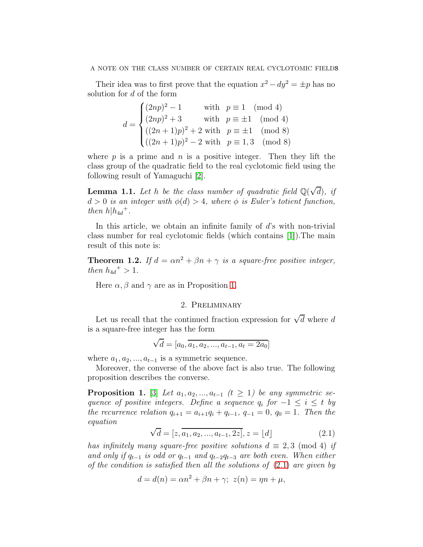Their idea was to first prove that the equation  $x^2 - dy^2 = \pm p$  has no solution for d of the form

$$
d = \begin{cases} (2np)^2 - 1 & \text{with } p \equiv 1 \pmod{4} \\ (2np)^2 + 3 & \text{with } p \equiv \pm 1 \pmod{4} \\ ((2n+1)p)^2 + 2 & \text{with } p \equiv \pm 1 \pmod{8} \\ ((2n+1)p)^2 - 2 & \text{with } p \equiv 1,3 \pmod{8} \end{cases}
$$

where  $p$  is a prime and  $n$  is a positive integer. Then they lift the class group of the quadratic field to the real cyclotomic field using the following result of Yamaguchi [\[2\]](#page-7-5).

<span id="page-2-3"></span>**Lemma 1.1.** Let h be the class number of quadratic field  $\mathbb{Q}(\sqrt{d})$ , if  $d > 0$  is an integer with  $\phi(d) > 4$ , where  $\phi$  is Euler's totient function, then  $h|h_{4d}$ <sup>+</sup>.

In this article, we obtain an infinite family of d's with non-trivial class number for real cyclotomic fields (which contains [\[1\]](#page-7-0)).The main result of this note is:

<span id="page-2-2"></span>**Theorem 1.2.** If  $d = \alpha n^2 + \beta n + \gamma$  is a square-free positive integer, then  $h_{4d}^+ > 1$ .

Here  $\alpha$ ,  $\beta$  and  $\gamma$  are as in Proposition [1.](#page-2-0)

# 2. Preliminary

Let us recall that the continued fraction expression for  $\sqrt{d}$  where d is a square-free integer has the form

$$
\sqrt{d} = [a_0, \overline{a_1, a_2, ..., a_{t-1}, a_t = 2a_0}]
$$

where  $a_1, a_2, ..., a_{t-1}$  is a symmetric sequence.

Moreover, the converse of the above fact is also true. The following proposition describes the converse.

<span id="page-2-0"></span>**Proposition 1.** [\[3\]](#page-7-6) Let  $a_1, a_2, ..., a_{t-1}$  ( $t \ge 1$ ) be any symmetric sequence of positive integers. Define a sequence  $q_i$  for  $-1 \le i \le t$  by the recurrence relation  $q_{i+1} = a_{i+1}q_i + q_{i-1}, q_{-1} = 0, q_0 = 1$ . Then the equation

<span id="page-2-1"></span>
$$
\sqrt{d} = [z, \overline{a_1, a_2, ..., a_{t-1}, 2z}], z = \lfloor d \rfloor
$$
\n(2.1)

has infinitely many square-free positive solutions  $d \equiv 2,3 \pmod{4}$  if and only if  $q_{t-1}$  is odd or  $q_{t-1}$  and  $q_{t-2}q_{t-3}$  are both even. When either of the condition is satisfied then all the solutions of  $(2.1)$  are given by

$$
d = d(n) = \alpha n^2 + \beta n + \gamma; \ z(n) = \eta n + \mu,
$$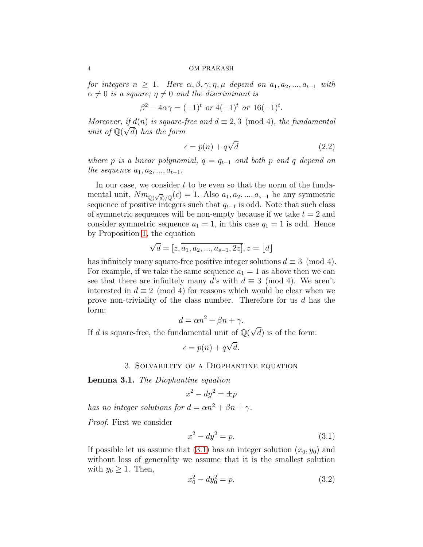for integers  $n \geq 1$ . Here  $\alpha, \beta, \gamma, \eta, \mu$  depend on  $a_1, a_2, ..., a_{t-1}$  with  $\alpha \neq 0$  is a square;  $\eta \neq 0$  and the discriminant is

$$
\beta^2 - 4\alpha \gamma = (-1)^t \text{ or } 4(-1)^t \text{ or } 16(-1)^t.
$$

Moreover, if  $d(n)$  is square-free and  $d \equiv 2,3 \pmod{4}$ , the fundamental unit of  $\mathbb{Q}(\sqrt{d})$  has the form

<span id="page-3-1"></span>
$$
\epsilon = p(n) + q\sqrt{d} \tag{2.2}
$$

where p is a linear polynomial,  $q = q_{t-1}$  and both p and q depend on the sequence  $a_1, a_2, ..., a_{t-1}$ .

In our case, we consider  $t$  to be even so that the norm of the fundamental unit,  $Nm_{\mathbb{Q}(\sqrt{d})/\mathbb{Q}}(\epsilon) = 1$ . Also  $a_1, a_2, ..., a_{s-1}$  be any symmetric sequence of positive integers such that  $q_{t-1}$  is odd. Note that such class of symmetric sequences will be non-empty because if we take  $t = 2$  and consider symmetric sequence  $a_1 = 1$ , in this case  $q_1 = 1$  is odd. Hence by Proposition [1,](#page-2-0) the equation

$$
\sqrt{d} = [z, a_1, a_2, ..., a_{s-1}, 2z], z = [d]
$$

has infinitely many square-free positive integer solutions  $d \equiv 3 \pmod{4}$ . For example, if we take the same sequence  $a_1 = 1$  as above then we can see that there are infinitely many d's with  $d \equiv 3 \pmod{4}$ . We aren't interested in  $d \equiv 2 \pmod{4}$  for reasons which would be clear when we prove non-triviality of the class number. Therefore for us  $d$  has the form:

$$
d = \alpha n^2 + \beta n + \gamma.
$$

If d is square-free, the fundamental unit of  $\mathbb{Q}(\sqrt{d})$  is of the form:

$$
\epsilon = p(n) + q\sqrt{d}.
$$

# 3. Solvability of a Diophantine equation

<span id="page-3-3"></span>Lemma 3.1. The Diophantine equation

$$
x^2 - dy^2 = \pm p
$$

has no integer solutions for  $d = \alpha n^2 + \beta n + \gamma$ .

Proof. First we consider

<span id="page-3-0"></span>
$$
x^2 - dy^2 = p.
$$
 (3.1)

If possible let us assume that [\(3.1\)](#page-3-0) has an integer solution  $(x_0, y_0)$  and without loss of generality we assume that it is the smallest solution with  $y_0 \geq 1$ . Then,

<span id="page-3-2"></span>
$$
x_0^2 - dy_0^2 = p. \t\t(3.2)
$$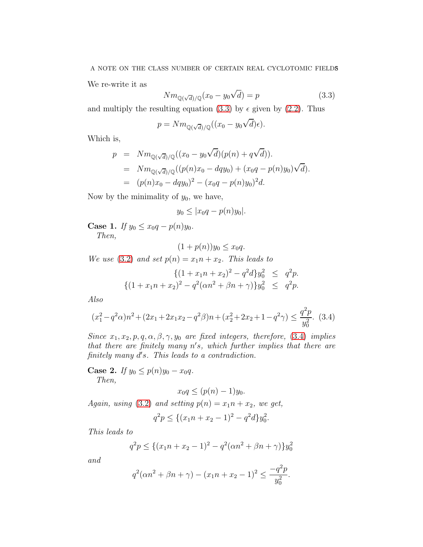We re-write it as

<span id="page-4-0"></span>
$$
Nm_{\mathbb{Q}(\sqrt{d})/\mathbb{Q}}(x_0 - y_0\sqrt{d}) = p \tag{3.3}
$$

and multiply the resulting equation [\(3.3\)](#page-4-0) by  $\epsilon$  given by [\(2.2\)](#page-3-1). Thus

$$
p = Nm_{\mathbb{Q}(\sqrt{d})/\mathbb{Q}}((x_0 - y_0\sqrt{d})\epsilon).
$$

Which is,

$$
p = Nm_{\mathbb{Q}(\sqrt{d})/\mathbb{Q}}((x_0 - y_0\sqrt{d})(p(n) + q\sqrt{d})).
$$
  
\n
$$
= Nm_{\mathbb{Q}(\sqrt{d})/\mathbb{Q}}((p(n)x_0 - dqy_0) + (x_0q - p(n)y_0)\sqrt{d}).
$$
  
\n
$$
= (p(n)x_0 - dqy_0)^2 - (x_0q - p(n)y_0)^2d.
$$

Now by the minimality of  $y_0$ , we have,

$$
y_0 \le |x_0q - p(n)y_0|.
$$

<span id="page-4-2"></span>Case 1. If  $y_0 \le x_0 q - p(n)y_0$ . Then,

$$
(1+p(n))y_0 \le x_0q.
$$

We use [\(3.2\)](#page-3-2) and set  $p(n) = x_1 n + x_2$ . This leads to

$$
\{(1+x_1n+x_2)^2 - q^2d\}y_0^2 \le q^2p.
$$
  

$$
\{(1+x_1n+x_2)^2 - q^2(\alpha n^2 + \beta n + \gamma)\}y_0^2 \le q^2p.
$$

Also

<span id="page-4-1"></span>
$$
(x_1^2 - q^2\alpha)n^2 + (2x_1 + 2x_1x_2 - q^2\beta)n + (x_2^2 + 2x_2 + 1 - q^2\gamma) \le \frac{q^2p}{y_0^2}.
$$
 (3.4)

Since  $x_1, x_2, p, q, \alpha, \beta, \gamma, y_0$  are fixed integers, therefore, [\(3.4\)](#page-4-1) implies that there are finitely many n ′ s, which further implies that there are finitely many d's. This leads to a contradiction.

Case 2. If  $y_0 \leq p(n)y_0 - x_0q$ . Then,

$$
x_0q \le (p(n)-1)y_0.
$$

Again, using [\(3.2\)](#page-3-2) and setting  $p(n) = x_1 n + x_2$ , we get,

$$
q^2p \le \{(x_1n + x_2 - 1)^2 - q^2d\}y_0^2.
$$

This leads to

$$
q^{2}p \leq \{(x_{1}n + x_{2} - 1)^{2} - q^{2}(\alpha n^{2} + \beta n + \gamma)\}y_{0}^{2}
$$

and

$$
q^{2}(\alpha n^{2} + \beta n + \gamma) - (x_{1}n + x_{2} - 1)^{2} \le \frac{-q^{2}p}{y_{0}^{2}}.
$$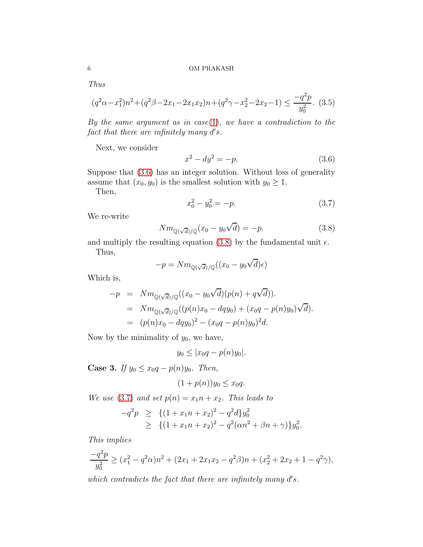Thus

$$
(q^2\alpha - x_1^2)n^2 + (q^2\beta - 2x_1 - 2x_1x_2)n + (q^2\gamma - x_2^2 - 2x_2 - 1) \le \frac{-q^2p}{y_0^2}.
$$
 (3.5)

By the same argument as in case[\(1\)](#page-4-2), we have a contradiction to the fact that there are infinitely many  $d's$ .

Next, we consider

<span id="page-5-0"></span>
$$
x^2 - dy^2 = -p.\t\t(3.6)
$$

Suppose that [\(3.6\)](#page-5-0) has an integer solution. Without loss of generality assume that  $(x_0, y_0)$  is the smallest solution with  $y_0 \geq 1$ .

Then,

<span id="page-5-2"></span>
$$
x_0^2 - y_0^2 = -p.\tag{3.7}
$$

We re-write

<span id="page-5-1"></span>
$$
Nm_{\mathbb{Q}(\sqrt{d})/\mathbb{Q}}(x_0 - y_0\sqrt{d}) = -p.
$$
\n(3.8)

and multiply the resulting equation [\(3.8\)](#page-5-1) by the fundamental unit  $\epsilon$ . Thus,

$$
-p = N m_{\mathbb{Q}(\sqrt{d})/\mathbb{Q}}((x_0 - y_0\sqrt{d})\epsilon)
$$

Which is,

$$
-p = Nm_{\mathbb{Q}(\sqrt{d})/\mathbb{Q}}((x_0 - y_0\sqrt{d})(p(n) + q\sqrt{d})).
$$
  
\n
$$
= Nm_{\mathbb{Q}(\sqrt{d})/\mathbb{Q}}((p(n)x_0 - dqy_0) + (x_0q - p(n)y_0)\sqrt{d}).
$$
  
\n
$$
= (p(n)x_0 - dqy_0)^2 - (x_0q - p(n)y_0)^2d.
$$

Now by the minimality of  $y_0$ , we have,

$$
y_0 \le |x_0q - p(n)y_0|.
$$

Case 3. If  $y_0 \le x_0 q - p(n)y_0$ . Then,

$$
(1+p(n))y_0 \le x_0q.
$$

We use [\(3.7\)](#page-5-2) and set  $p(n) = x_1 n + x_2$ . This leads to

$$
-q^2p \geq \{ (1+x_1n+x_2)^2 - q^2d \}y_0^2
$$
  
 
$$
\geq \{ (1+x_1n+x_2)^2 - q^2(\alpha n^2 + \beta n + \gamma) \}y_0^2.
$$

This implies

$$
\frac{-q^2p}{y_0^2} \ge (x_1^2 - q^2\alpha)n^2 + (2x_1 + 2x_1x_2 - q^2\beta)n + (x_2^2 + 2x_2 + 1 - q^2\gamma),
$$

which contradicts the fact that there are infinitely many  $d's$ .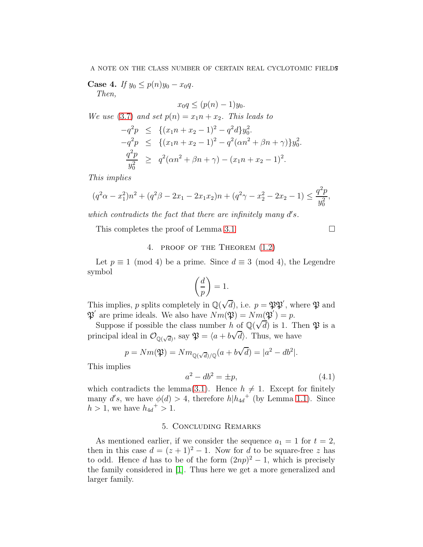Case 4. If  $y_0 \leq p(n)y_0 - x_0q$ . Then,

$$
x_0q \le (p(n)-1)y_0.
$$

We use [\(3.7\)](#page-5-2) and set  $p(n) = x_1 n + x_2$ . This leads to

$$
-q^2p \leq \{(x_1n + x_2 - 1)^2 - q^2d\}y_0^2.
$$
  
\n
$$
-q^2p \leq \{(x_1n + x_2 - 1)^2 - q^2(\alpha n^2 + \beta n + \gamma)\}y_0^2.
$$
  
\n
$$
\frac{q^2p}{y_0^2} \geq q^2(\alpha n^2 + \beta n + \gamma) - (x_1n + x_2 - 1)^2.
$$

This implies

$$
(q^2\alpha - x_1^2)n^2 + (q^2\beta - 2x_1 - 2x_1x_2)n + (q^2\gamma - x_2^2 - 2x_2 - 1) \le \frac{q^2p}{y_0^2},
$$

which contradicts the fact that there are infinitely many  $d's$ .

This completes the proof of Lemma [3.1](#page-3-3)  $\Box$ 

# 4. proof of the Theorem [\(1.2\)](#page-2-2)

Let  $p \equiv 1 \pmod{4}$  be a prime. Since  $d \equiv 3 \pmod{4}$ , the Legendre symbol

$$
\left(\frac{d}{p}\right) = 1.
$$

This implies, p splits completely in  $\mathbb{Q}(\sqrt{d})$ , i.e.  $p = \mathfrak{PP}'$ , where  $\mathfrak{P}$  and  $\mathfrak{P}'$  are prime ideals. We also have  $\overline{Nm}(\mathfrak{P}) = \overline{Nm}(\mathfrak{P}') = p$ .

Suppose if possible the class number h of  $\mathbb{Q}(\sqrt{d})$  is 1. Then  $\mathfrak{P}$  is a principal ideal in  $\mathcal{O}_{\mathbb{Q}(\sqrt{d})}$ , say  $\mathfrak{P} = \langle a + b\sqrt{d} \rangle$ . Thus, we have

$$
p = Nm(\mathfrak{P}) = Nm_{\mathbb{Q}(\sqrt{d})/\mathbb{Q}}(a + b\sqrt{d}) = |a^2 - db^2|.
$$

This implies

$$
a^2 - db^2 = \pm p,\tag{4.1}
$$

which contradicts the lemma[\(3.1\)](#page-3-3). Hence  $h \neq 1$ . Except for finitely many d's, we have  $\phi(d) > 4$ , therefore  $h|h_{4d}$ <sup>+</sup> (by Lemma [1.1\)](#page-2-3). Since  $h > 1$ , we have  $h_{4d}^{+} > 1$ .

# 5. Concluding Remarks

As mentioned earlier, if we consider the sequence  $a_1 = 1$  for  $t = 2$ , then in this case  $d = (z + 1)^2 - 1$ . Now for d to be square-free z has to odd. Hence d has to be of the form  $(2np)^2 - 1$ , which is precisely the family considered in [\[1\]](#page-7-0). Thus here we get a more generalized and larger family.